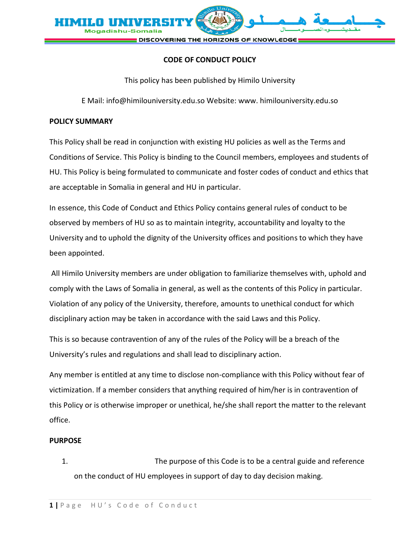

## **CODE OF CONDUCT POLICY**

This policy has been published by Himilo University

E Mail: info@himilouniversity.edu.so Website: www. himilouniversity.edu.so

## **POLICY SUMMARY**

This Policy shall be read in conjunction with existing HU policies as well as the Terms and Conditions of Service. This Policy is binding to the Council members, employees and students of HU. This Policy is being formulated to communicate and foster codes of conduct and ethics that are acceptable in Somalia in general and HU in particular.

In essence, this Code of Conduct and Ethics Policy contains general rules of conduct to be observed by members of HU so as to maintain integrity, accountability and loyalty to the University and to uphold the dignity of the University offices and positions to which they have been appointed.

All Himilo University members are under obligation to familiarize themselves with, uphold and comply with the Laws of Somalia in general, as well as the contents of this Policy in particular. Violation of any policy of the University, therefore, amounts to unethical conduct for which disciplinary action may be taken in accordance with the said Laws and this Policy.

This is so because contravention of any of the rules of the Policy will be a breach of the University's rules and regulations and shall lead to disciplinary action.

Any member is entitled at any time to disclose non-compliance with this Policy without fear of victimization. If a member considers that anything required of him/her is in contravention of this Policy or is otherwise improper or unethical, he/she shall report the matter to the relevant office.

## **PURPOSE**

1. The purpose of this Code is to be a central guide and reference on the conduct of HU employees in support of day to day decision making.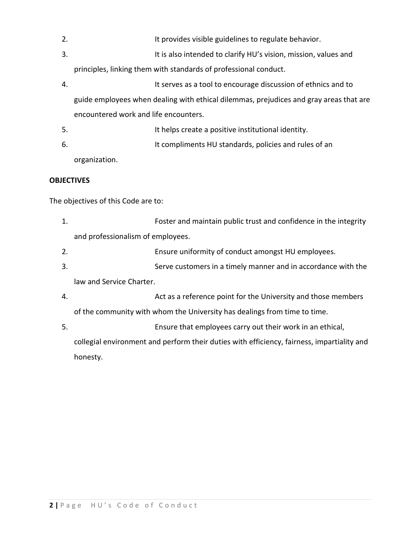2. It provides visible guidelines to regulate behavior. 3. It is also intended to clarify HU's vision, mission, values and

principles, linking them with standards of professional conduct.

- 4. It serves as a tool to encourage discussion of ethnics and to guide employees when dealing with ethical dilemmas, prejudices and gray areas that are encountered work and life encounters.
- 5. It helps create a positive institutional identity.
- 6. It compliments HU standards, policies and rules of an

organization.

## **OBJECTIVES**

The objectives of this Code are to:

- 1. Foster and maintain public trust and confidence in the integrity and professionalism of employees.
- 2. Ensure uniformity of conduct amongst HU employees.
- 3. Serve customers in a timely manner and in accordance with the

law and Service Charter.

4. Act as a reference point for the University and those members

of the community with whom the University has dealings from time to time.

5. Ensure that employees carry out their work in an ethical,

collegial environment and perform their duties with efficiency, fairness, impartiality and honesty.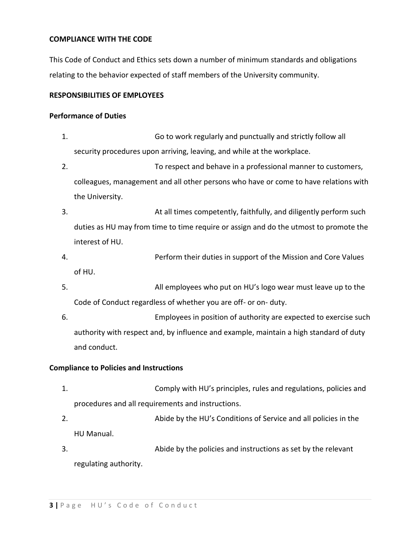## **COMPLIANCE WITH THE CODE**

This Code of Conduct and Ethics sets down a number of minimum standards and obligations relating to the behavior expected of staff members of the University community.

## **RESPONSIBILITIES OF EMPLOYEES**

#### **Performance of Duties**

- 1. Go to work regularly and punctually and strictly follow all security procedures upon arriving, leaving, and while at the workplace.
- 2. To respect and behave in a professional manner to customers, colleagues, management and all other persons who have or come to have relations with the University.
- 3. At all times competently, faithfully, and diligently perform such duties as HU may from time to time require or assign and do the utmost to promote the interest of HU.
- 4. Perform their duties in support of the Mission and Core Values of HU.
- 5. All employees who put on HU's logo wear must leave up to the Code of Conduct regardless of whether you are off- or on- duty.
- 6. Employees in position of authority are expected to exercise such authority with respect and, by influence and example, maintain a high standard of duty and conduct.

## **Compliance to Policies and Instructions**

- 1. Comply with HU's principles, rules and regulations, policies and procedures and all requirements and instructions.
- 2. Abide by the HU's Conditions of Service and all policies in the HU Manual.
- 3. Abide by the policies and instructions as set by the relevant regulating authority.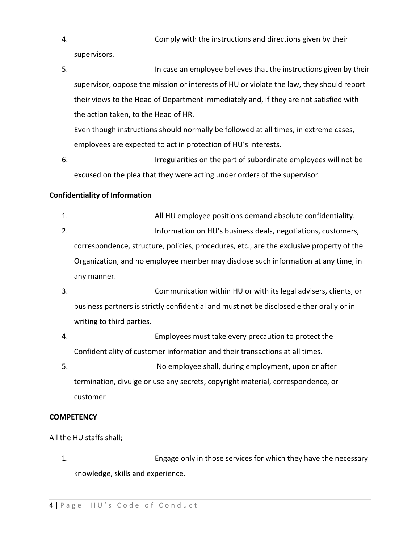4. Comply with the instructions and directions given by their

supervisors.

5. In case an employee believes that the instructions given by their supervisor, oppose the mission or interests of HU or violate the law, they should report their views to the Head of Department immediately and, if they are not satisfied with the action taken, to the Head of HR.

Even though instructions should normally be followed at all times, in extreme cases, employees are expected to act in protection of HU's interests.

6. Irregularities on the part of subordinate employees will not be excused on the plea that they were acting under orders of the supervisor.

## **Confidentiality of Information**

- 1. All HU employee positions demand absolute confidentiality. 2. Information on HU's business deals, negotiations, customers, correspondence, structure, policies, procedures, etc., are the exclusive property of the Organization, and no employee member may disclose such information at any time, in any manner.
- 3. Communication within HU or with its legal advisers, clients, or business partners is strictly confidential and must not be disclosed either orally or in writing to third parties.
- 4. Employees must take every precaution to protect the Confidentiality of customer information and their transactions at all times.
- 5. No employee shall, during employment, upon or after termination, divulge or use any secrets, copyright material, correspondence, or customer

## **COMPETENCY**

All the HU staffs shall;

1. Engage only in those services for which they have the necessary knowledge, skills and experience.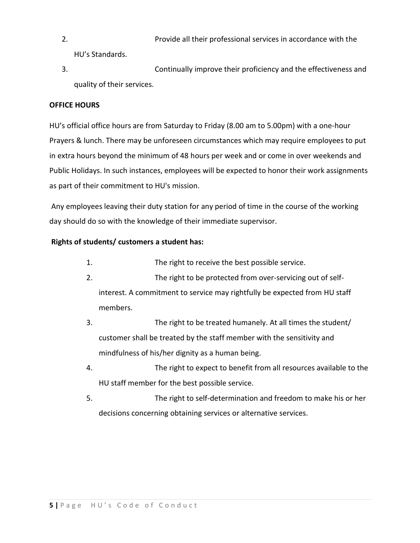- 2. Provide all their professional services in accordance with the HU's Standards.
- 3. Continually improve their proficiency and the effectiveness and quality of their services.

# **OFFICE HOURS**

HU's official office hours are from Saturday to Friday (8.00 am to 5.00pm) with a one-hour Prayers & lunch. There may be unforeseen circumstances which may require employees to put in extra hours beyond the minimum of 48 hours per week and or come in over weekends and Public Holidays. In such instances, employees will be expected to honor their work assignments as part of their commitment to HU's mission.

Any employees leaving their duty station for any period of time in the course of the working day should do so with the knowledge of their immediate supervisor.

# **Rights of students/ customers a student has:**

- 1. The right to receive the best possible service.
- 2. The right to be protected from over-servicing out of selfinterest. A commitment to service may rightfully be expected from HU staff members.
- 3. The right to be treated humanely. At all times the student/ customer shall be treated by the staff member with the sensitivity and mindfulness of his/her dignity as a human being.
- 4. The right to expect to benefit from all resources available to the HU staff member for the best possible service.
- 5. The right to self-determination and freedom to make his or her decisions concerning obtaining services or alternative services.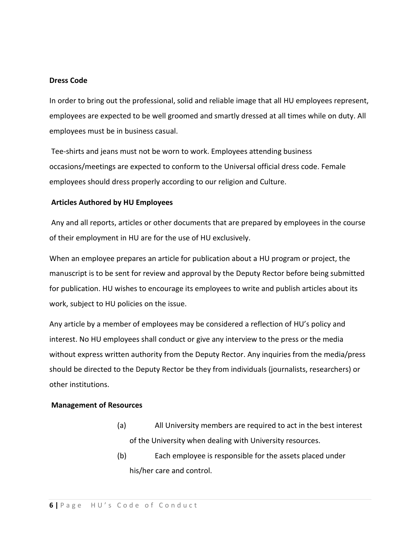#### **Dress Code**

In order to bring out the professional, solid and reliable image that all HU employees represent, employees are expected to be well groomed and smartly dressed at all times while on duty. All employees must be in business casual.

Tee-shirts and jeans must not be worn to work. Employees attending business occasions/meetings are expected to conform to the Universal official dress code. Female employees should dress properly according to our religion and Culture.

## **Articles Authored by HU Employees**

Any and all reports, articles or other documents that are prepared by employees in the course of their employment in HU are for the use of HU exclusively.

When an employee prepares an article for publication about a HU program or project, the manuscript is to be sent for review and approval by the Deputy Rector before being submitted for publication. HU wishes to encourage its employees to write and publish articles about its work, subject to HU policies on the issue.

Any article by a member of employees may be considered a reflection of HU's policy and interest. No HU employees shall conduct or give any interview to the press or the media without express written authority from the Deputy Rector. Any inquiries from the media/press should be directed to the Deputy Rector be they from individuals (journalists, researchers) or other institutions.

#### **Management of Resources**

- (a) All University members are required to act in the best interest of the University when dealing with University resources.
- (b) Each employee is responsible for the assets placed under his/her care and control.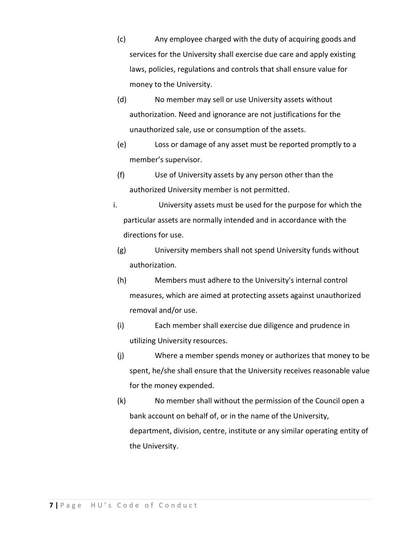- (c) Any employee charged with the duty of acquiring goods and services for the University shall exercise due care and apply existing laws, policies, regulations and controls that shall ensure value for money to the University.
- (d) No member may sell or use University assets without authorization. Need and ignorance are not justifications for the unauthorized sale, use or consumption of the assets.
- (e) Loss or damage of any asset must be reported promptly to a member's supervisor.
- (f) Use of University assets by any person other than the authorized University member is not permitted.
- i. University assets must be used for the purpose for which the particular assets are normally intended and in accordance with the directions for use.
	- (g) University members shall not spend University funds without authorization.
	- (h) Members must adhere to the University's internal control measures, which are aimed at protecting assets against unauthorized removal and/or use.
	- (i) Each member shall exercise due diligence and prudence in utilizing University resources.
	- (j) Where a member spends money or authorizes that money to be spent, he/she shall ensure that the University receives reasonable value for the money expended.
	- (k) No member shall without the permission of the Council open a bank account on behalf of, or in the name of the University, department, division, centre, institute or any similar operating entity of the University.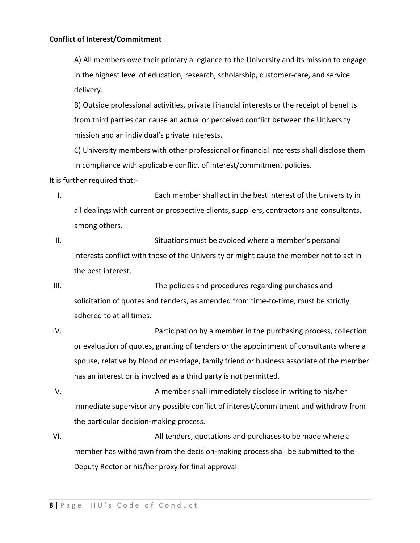A) All members owe their primary allegiance to the University and its mission to engage in the highest level of education, research, scholarship, customer-care, and service delivery.

B) Outside professional activities, private financial interests or the receipt of benefits from third parties can cause an actual or perceived conflict between the University mission and an individual's private interests.

C) University members with other professional or financial interests shall disclose them in compliance with applicable conflict of interest/commitment policies.

It is further required that:-

I. Each member shall act in the best interest of the University in all dealings with current or prospective clients, suppliers, contractors and consultants, among others.

II. Situations must be avoided where a member's personal interests conflict with those of the University or might cause the member not to act in the best interest.

III. The policies and procedures regarding purchases and solicitation of quotes and tenders, as amended from time-to-time, must be strictly adhered to at all times.

IV. Participation by a member in the purchasing process, collection or evaluation of quotes, granting of tenders or the appointment of consultants where a spouse, relative by blood or marriage, family friend or business associate of the member has an interest or is involved as a third party is not permitted.

V. A member shall immediately disclose in writing to his/her immediate supervisor any possible conflict of interest/commitment and withdraw from the particular decision-making process.

VI. All tenders, quotations and purchases to be made where a member has withdrawn from the decision-making process shall be submitted to the Deputy Rector or his/her proxy for final approval.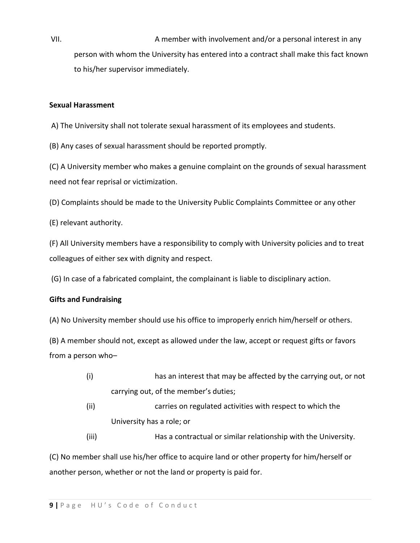VII. A member with involvement and/or a personal interest in any person with whom the University has entered into a contract shall make this fact known to his/her supervisor immediately.

## **Sexual Harassment**

A) The University shall not tolerate sexual harassment of its employees and students.

(B) Any cases of sexual harassment should be reported promptly.

(C) A University member who makes a genuine complaint on the grounds of sexual harassment need not fear reprisal or victimization.

(D) Complaints should be made to the University Public Complaints Committee or any other

(E) relevant authority.

(F) All University members have a responsibility to comply with University policies and to treat colleagues of either sex with dignity and respect.

(G) In case of a fabricated complaint, the complainant is liable to disciplinary action.

## **Gifts and Fundraising**

(A) No University member should use his office to improperly enrich him/herself or others.

(B) A member should not, except as allowed under the law, accept or request gifts or favors from a person who–

- (i) has an interest that may be affected by the carrying out, or not carrying out, of the member's duties;
- (ii) carries on regulated activities with respect to which the University has a role; or
- (iii) Has a contractual or similar relationship with the University.

(C) No member shall use his/her office to acquire land or other property for him/herself or another person, whether or not the land or property is paid for.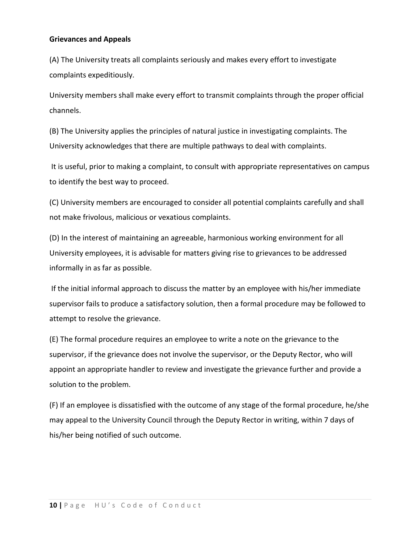#### **Grievances and Appeals**

(A) The University treats all complaints seriously and makes every effort to investigate complaints expeditiously.

University members shall make every effort to transmit complaints through the proper official channels.

(B) The University applies the principles of natural justice in investigating complaints. The University acknowledges that there are multiple pathways to deal with complaints.

It is useful, prior to making a complaint, to consult with appropriate representatives on campus to identify the best way to proceed.

(C) University members are encouraged to consider all potential complaints carefully and shall not make frivolous, malicious or vexatious complaints.

(D) In the interest of maintaining an agreeable, harmonious working environment for all University employees, it is advisable for matters giving rise to grievances to be addressed informally in as far as possible.

If the initial informal approach to discuss the matter by an employee with his/her immediate supervisor fails to produce a satisfactory solution, then a formal procedure may be followed to attempt to resolve the grievance.

(E) The formal procedure requires an employee to write a note on the grievance to the supervisor, if the grievance does not involve the supervisor, or the Deputy Rector, who will appoint an appropriate handler to review and investigate the grievance further and provide a solution to the problem.

(F) If an employee is dissatisfied with the outcome of any stage of the formal procedure, he/she may appeal to the University Council through the Deputy Rector in writing, within 7 days of his/her being notified of such outcome.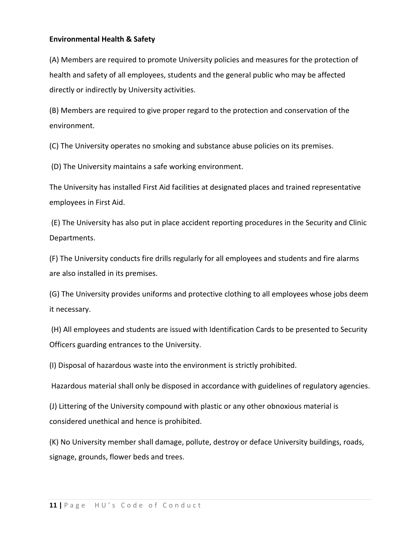### **Environmental Health & Safety**

(A) Members are required to promote University policies and measures for the protection of health and safety of all employees, students and the general public who may be affected directly or indirectly by University activities.

(B) Members are required to give proper regard to the protection and conservation of the environment.

(C) The University operates no smoking and substance abuse policies on its premises.

(D) The University maintains a safe working environment.

The University has installed First Aid facilities at designated places and trained representative employees in First Aid.

(E) The University has also put in place accident reporting procedures in the Security and Clinic Departments.

(F) The University conducts fire drills regularly for all employees and students and fire alarms are also installed in its premises.

(G) The University provides uniforms and protective clothing to all employees whose jobs deem it necessary.

(H) All employees and students are issued with Identification Cards to be presented to Security Officers guarding entrances to the University.

(I) Disposal of hazardous waste into the environment is strictly prohibited.

Hazardous material shall only be disposed in accordance with guidelines of regulatory agencies.

(J) Littering of the University compound with plastic or any other obnoxious material is considered unethical and hence is prohibited.

(K) No University member shall damage, pollute, destroy or deface University buildings, roads, signage, grounds, flower beds and trees.